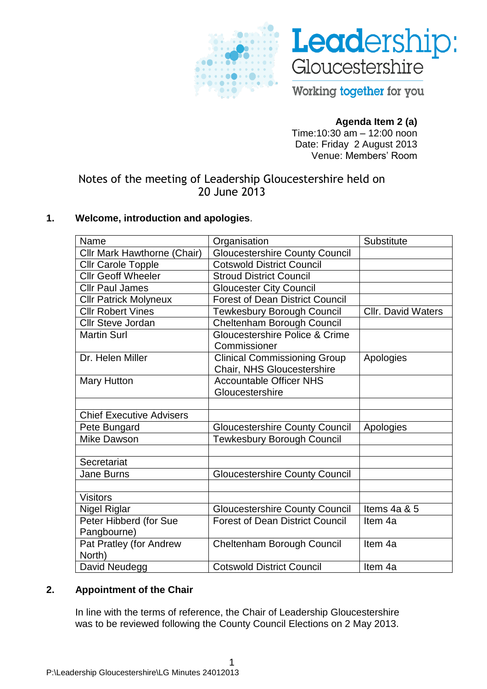



Working together for you

## **Agenda Item 2 (a)**

Time:10:30 am – 12:00 noon Date: Friday 2 August 2013 Venue: Members' Room

# Notes of the meeting of Leadership Gloucestershire held on 20 June 2013

### **1. Welcome, introduction and apologies**.

| Name                            | Organisation                           | Substitute                |
|---------------------------------|----------------------------------------|---------------------------|
| Cllr Mark Hawthorne (Chair)     | <b>Gloucestershire County Council</b>  |                           |
| <b>Cllr Carole Topple</b>       | <b>Cotswold District Council</b>       |                           |
| <b>Cllr Geoff Wheeler</b>       | <b>Stroud District Council</b>         |                           |
| <b>Cllr Paul James</b>          | <b>Gloucester City Council</b>         |                           |
| <b>Cllr Patrick Molyneux</b>    | <b>Forest of Dean District Council</b> |                           |
| <b>Cllr Robert Vines</b>        | <b>Tewkesbury Borough Council</b>      | <b>Cllr. David Waters</b> |
| <b>Cllr Steve Jordan</b>        | Cheltenham Borough Council             |                           |
| <b>Martin Surl</b>              | Gloucestershire Police & Crime         |                           |
|                                 | Commissioner                           |                           |
| Dr. Helen Miller                | <b>Clinical Commissioning Group</b>    | Apologies                 |
|                                 | Chair, NHS Gloucestershire             |                           |
| <b>Mary Hutton</b>              | <b>Accountable Officer NHS</b>         |                           |
|                                 | Gloucestershire                        |                           |
|                                 |                                        |                           |
| <b>Chief Executive Advisers</b> |                                        |                           |
| Pete Bungard                    | <b>Gloucestershire County Council</b>  | Apologies                 |
| <b>Mike Dawson</b>              | <b>Tewkesbury Borough Council</b>      |                           |
|                                 |                                        |                           |
| Secretariat                     |                                        |                           |
| Jane Burns                      | <b>Gloucestershire County Council</b>  |                           |
|                                 |                                        |                           |
| <b>Visitors</b>                 |                                        |                           |
| <b>Nigel Riglar</b>             | <b>Gloucestershire County Council</b>  | Items 4a & 5              |
| Peter Hibberd (for Sue          | <b>Forest of Dean District Council</b> | Item 4a                   |
| Pangbourne)                     |                                        |                           |
| Pat Pratley (for Andrew         | Cheltenham Borough Council             | Item 4a                   |
| North)                          |                                        |                           |
| David Neudegg                   | <b>Cotswold District Council</b>       | Item 4a                   |

#### **2. Appointment of the Chair**

In line with the terms of reference, the Chair of Leadership Gloucestershire was to be reviewed following the County Council Elections on 2 May 2013.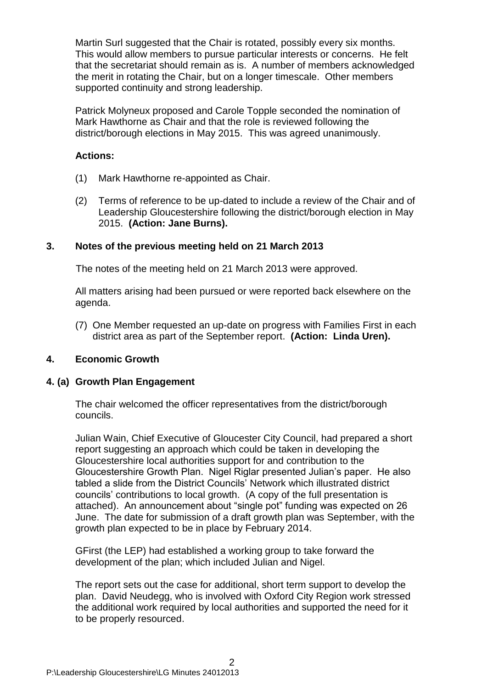Martin Surl suggested that the Chair is rotated, possibly every six months. This would allow members to pursue particular interests or concerns. He felt that the secretariat should remain as is. A number of members acknowledged the merit in rotating the Chair, but on a longer timescale. Other members supported continuity and strong leadership.

Patrick Molyneux proposed and Carole Topple seconded the nomination of Mark Hawthorne as Chair and that the role is reviewed following the district/borough elections in May 2015. This was agreed unanimously.

### **Actions:**

- (1) Mark Hawthorne re-appointed as Chair.
- (2) Terms of reference to be up-dated to include a review of the Chair and of Leadership Gloucestershire following the district/borough election in May 2015. **(Action: Jane Burns).**

### **3. Notes of the previous meeting held on 21 March 2013**

The notes of the meeting held on 21 March 2013 were approved.

All matters arising had been pursued or were reported back elsewhere on the agenda.

(7) One Member requested an up-date on progress with Families First in each district area as part of the September report. **(Action: Linda Uren).**

#### **4. Economic Growth**

#### **4. (a) Growth Plan Engagement**

The chair welcomed the officer representatives from the district/borough councils.

Julian Wain, Chief Executive of Gloucester City Council, had prepared a short report suggesting an approach which could be taken in developing the Gloucestershire local authorities support for and contribution to the Gloucestershire Growth Plan. Nigel Riglar presented Julian's paper. He also tabled a slide from the District Councils' Network which illustrated district councils' contributions to local growth. (A copy of the full presentation is attached). An announcement about "single pot" funding was expected on 26 June. The date for submission of a draft growth plan was September, with the growth plan expected to be in place by February 2014.

GFirst (the LEP) had established a working group to take forward the development of the plan; which included Julian and Nigel.

The report sets out the case for additional, short term support to develop the plan. David Neudegg, who is involved with Oxford City Region work stressed the additional work required by local authorities and supported the need for it to be properly resourced.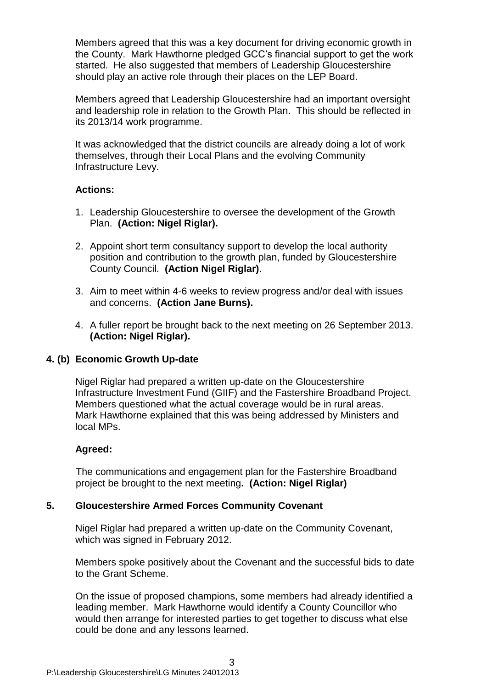Members agreed that this was a key document for driving economic growth in the County. Mark Hawthorne pledged GCC's financial support to get the work started. He also suggested that members of Leadership Gloucestershire should play an active role through their places on the LEP Board.

Members agreed that Leadership Gloucestershire had an important oversight and leadership role in relation to the Growth Plan. This should be reflected in its 2013/14 work programme.

It was acknowledged that the district councils are already doing a lot of work themselves, through their Local Plans and the evolving Community Infrastructure Levy.

#### **Actions:**

- 1. Leadership Gloucestershire to oversee the development of the Growth Plan. **(Action: Nigel Riglar).**
- 2. Appoint short term consultancy support to develop the local authority position and contribution to the growth plan, funded by Gloucestershire County Council. **(Action Nigel Riglar)**.
- 3. Aim to meet within 4-6 weeks to review progress and/or deal with issues and concerns. **(Action Jane Burns).**
- 4. A fuller report be brought back to the next meeting on 26 September 2013. **(Action: Nigel Riglar).**

#### **4. (b) Economic Growth Up-date**

Nigel Riglar had prepared a written up-date on the Gloucestershire Infrastructure Investment Fund (GIIF) and the Fastershire Broadband Project. Members questioned what the actual coverage would be in rural areas. Mark Hawthorne explained that this was being addressed by Ministers and local MPs.

#### **Agreed:**

The communications and engagement plan for the Fastershire Broadband project be brought to the next meeting**. (Action: Nigel Riglar)**

#### **5. Gloucestershire Armed Forces Community Covenant**

Nigel Riglar had prepared a written up-date on the Community Covenant, which was signed in February 2012.

Members spoke positively about the Covenant and the successful bids to date to the Grant Scheme.

On the issue of proposed champions, some members had already identified a leading member. Mark Hawthorne would identify a County Councillor who would then arrange for interested parties to get together to discuss what else could be done and any lessons learned.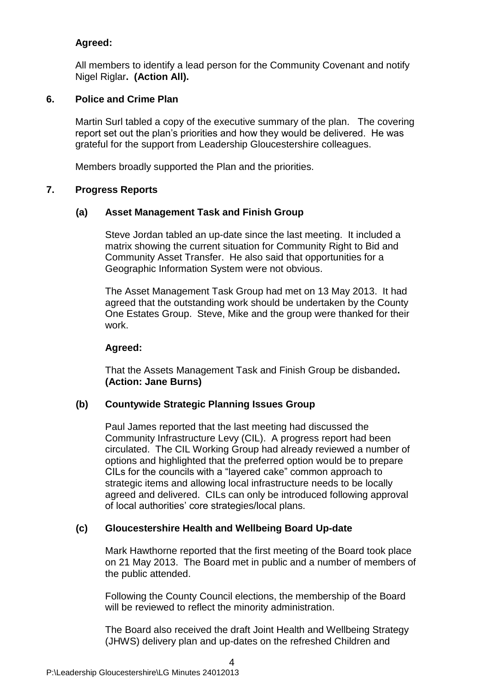### **Agreed:**

All members to identify a lead person for the Community Covenant and notify Nigel Riglar**. (Action All).**

### **6. Police and Crime Plan**

Martin Surl tabled a copy of the executive summary of the plan. The covering report set out the plan's priorities and how they would be delivered. He was grateful for the support from Leadership Gloucestershire colleagues.

Members broadly supported the Plan and the priorities.

### **7. Progress Reports**

### **(a) Asset Management Task and Finish Group**

Steve Jordan tabled an up-date since the last meeting. It included a matrix showing the current situation for Community Right to Bid and Community Asset Transfer. He also said that opportunities for a Geographic Information System were not obvious.

The Asset Management Task Group had met on 13 May 2013. It had agreed that the outstanding work should be undertaken by the County One Estates Group. Steve, Mike and the group were thanked for their work.

### **Agreed:**

That the Assets Management Task and Finish Group be disbanded**. (Action: Jane Burns)**

### **(b) Countywide Strategic Planning Issues Group**

Paul James reported that the last meeting had discussed the Community Infrastructure Levy (CIL). A progress report had been circulated. The CIL Working Group had already reviewed a number of options and highlighted that the preferred option would be to prepare CILs for the councils with a "layered cake" common approach to strategic items and allowing local infrastructure needs to be locally agreed and delivered. CILs can only be introduced following approval of local authorities' core strategies/local plans.

### **(c) Gloucestershire Health and Wellbeing Board Up-date**

Mark Hawthorne reported that the first meeting of the Board took place on 21 May 2013. The Board met in public and a number of members of the public attended.

Following the County Council elections, the membership of the Board will be reviewed to reflect the minority administration.

The Board also received the draft Joint Health and Wellbeing Strategy (JHWS) delivery plan and up-dates on the refreshed Children and